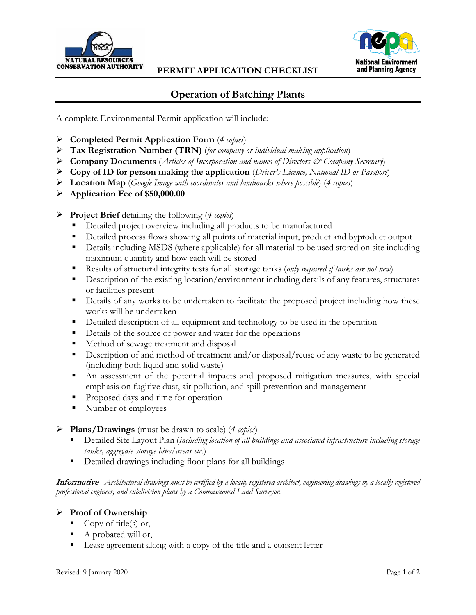



## **Operation of Batching Plants**

A complete Environmental Permit application will include:

- **Completed Permit Application Form** (*4 copies*)
- **Tax Registration Number (TRN)** (*for company or individual making application*)
- **Company Documents** (*Articles of Incorporation and names of Directors & Company Secretary*)
- **Copy of ID for person making the application** (*Driver's Licence, National ID or Passport*)
- **Location Map** (*Google Image with coordinates and landmarks where possible*) (*4 copies*)
- **Application Fee of \$50,000.00**
- **Project Brief** detailing the following (*4 copies*)
	- Detailed project overview including all products to be manufactured
	- Detailed process flows showing all points of material input, product and byproduct output
	- Details including MSDS (where applicable) for all material to be used stored on site including maximum quantity and how each will be stored
	- Results of structural integrity tests for all storage tanks (*only required if tanks are not new*)
	- **Description of the existing location/environment including details of any features, structures** or facilities present
	- **•** Details of any works to be undertaken to facilitate the proposed project including how these works will be undertaken
	- Detailed description of all equipment and technology to be used in the operation
	- Details of the source of power and water for the operations
	- Method of sewage treatment and disposal
	- Description of and method of treatment and/or disposal/reuse of any waste to be generated (including both liquid and solid waste)
	- An assessment of the potential impacts and proposed mitigation measures, with special emphasis on fugitive dust, air pollution, and spill prevention and management
	- **Proposed days and time for operation**
	- Number of employees
- **Plans/Drawings** (must be drawn to scale) (*4 copies*)
	- Detailed Site Layout Plan (*including location of all buildings and associated infrastructure including storage tanks, aggregate storage bins/areas etc.*)
	- Detailed drawings including floor plans for all buildings

**Informative** *- Architectural drawings must be certified by a locally registered architect, engineering drawings by a locally registered professional engineer, and subdivision plans by a Commissioned Land Surveyor.*

## **Proof of Ownership**

- Copy of title(s) or,
- A probated will or,
- Lease agreement along with a copy of the title and a consent letter